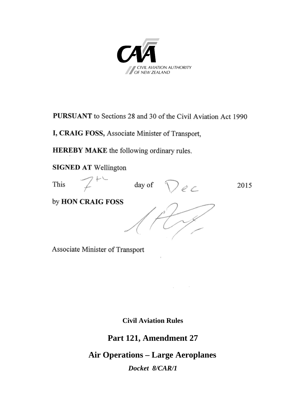

**PURSUANT** to Sections 28 and 30 of the Civil Aviation Act 1990

I, CRAIG FOSS, Associate Minister of Transport,

**HEREBY MAKE** the following ordinary rules.

**SIGNED AT Wellington** 



Associate Minister of Transport

**Civil Aviation Rules**

**Part 121, Amendment 27**

**Air Operations – Large Aeroplanes** *Docket 8/CAR/1*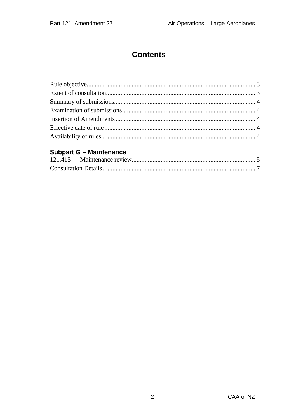# **Contents**

#### **Subpart G - Maintenance**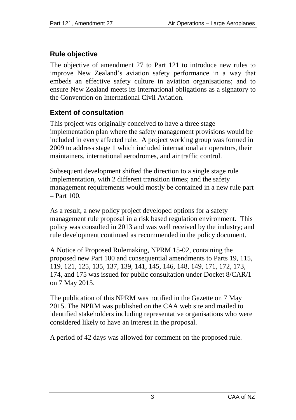## **Rule objective**

The objective of amendment 27 to Part 121 to introduce new rules to improve New Zealand's aviation safety performance in a way that embeds an effective safety culture in aviation organisations; and to ensure New Zealand meets its international obligations as a signatory to the Convention on International Civil Aviation.

## **Extent of consultation**

This project was originally conceived to have a three stage implementation plan where the safety management provisions would be included in every affected rule. A project working group was formed in 2009 to address stage 1 which included international air operators, their maintainers, international aerodromes, and air traffic control.

Subsequent development shifted the direction to a single stage rule implementation, with 2 different transition times; and the safety management requirements would mostly be contained in a new rule part  $=$  Part 100.

As a result, a new policy project developed options for a safety management rule proposal in a risk based regulation environment. This policy was consulted in 2013 and was well received by the industry; and rule development continued as recommended in the policy document.

A Notice of Proposed Rulemaking, NPRM 15-02, containing the proposed new Part 100 and consequential amendments to Parts 19, 115, 119, 121, 125, 135, 137, 139, 141, 145, 146, 148, 149, 171, 172, 173, 174, and 175 was issued for public consultation under Docket 8/CAR/1 on 7 May 2015.

The publication of this NPRM was notified in the Gazette on 7 May 2015. The NPRM was published on the CAA web site and mailed to identified stakeholders including representative organisations who were considered likely to have an interest in the proposal.

A period of 42 days was allowed for comment on the proposed rule.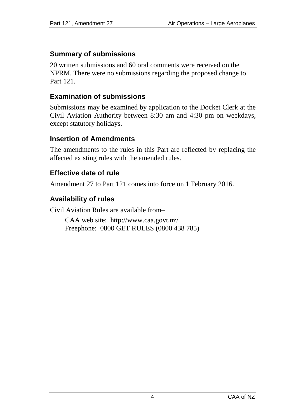#### **Summary of submissions**

20 written submissions and 60 oral comments were received on the NPRM. There were no submissions regarding the proposed change to Part 121.

#### **Examination of submissions**

Submissions may be examined by application to the Docket Clerk at the Civil Aviation Authority between 8:30 am and 4:30 pm on weekdays, except statutory holidays.

#### **Insertion of Amendments**

The amendments to the rules in this Part are reflected by replacing the affected existing rules with the amended rules.

#### **Effective date of rule**

Amendment 27 to Part 121 comes into force on 1 February 2016.

#### **Availability of rules**

Civil Aviation Rules are available from–

CAA web site:<http://www.caa.govt.nz/> Freephone: 0800 GET RULES (0800 438 785)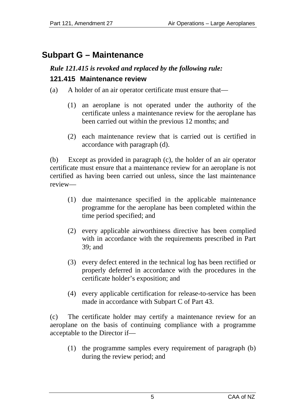# **Subpart G – Maintenance**

# *Rule 121.415 is revoked and replaced by the following rule:* **121.415 Maintenance review**

- (a) A holder of an air operator certificate must ensure that—
	- (1) an aeroplane is not operated under the authority of the certificate unless a maintenance review for the aeroplane has been carried out within the previous 12 months; and
	- (2) each maintenance review that is carried out is certified in accordance with paragraph (d).

(b) Except as provided in paragraph (c), the holder of an air operator certificate must ensure that a maintenance review for an aeroplane is not certified as having been carried out unless, since the last maintenance review—

- (1) due maintenance specified in the applicable maintenance programme for the aeroplane has been completed within the time period specified; and
- (2) every applicable airworthiness directive has been complied with in accordance with the requirements prescribed in Part 39; and
- (3) every defect entered in the technical log has been rectified or properly deferred in accordance with the procedures in the certificate holder's exposition; and
- (4) every applicable certification for release-to-service has been made in accordance with Subpart C of Part 43.

(c) The certificate holder may certify a maintenance review for an aeroplane on the basis of continuing compliance with a programme acceptable to the Director if—

(1) the programme samples every requirement of paragraph (b) during the review period; and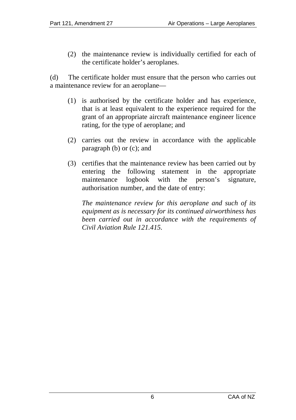(2) the maintenance review is individually certified for each of the certificate holder's aeroplanes.

(d) The certificate holder must ensure that the person who carries out a maintenance review for an aeroplane—

- (1) is authorised by the certificate holder and has experience, that is at least equivalent to the experience required for the grant of an appropriate aircraft maintenance engineer licence rating, for the type of aeroplane; and
- (2) carries out the review in accordance with the applicable paragraph (b) or (c); and
- (3) certifies that the maintenance review has been carried out by entering the following statement in the appropriate maintenance logbook with the person's signature, authorisation number, and the date of entry:

*The maintenance review for this aeroplane and such of its equipment as is necessary for its continued airworthiness has been carried out in accordance with the requirements of Civil Aviation Rule 121.415.*